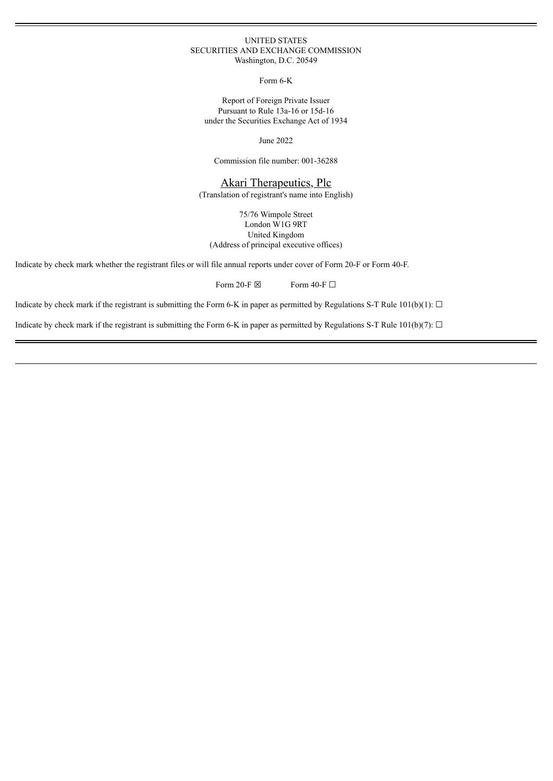### UNITED STATES SECURITIES AND EXCHANGE COMMISSION Washington, D.C. 20549

Form 6-K

Report of Foreign Private Issuer Pursuant to Rule 13a-16 or 15d-16 under the Securities Exchange Act of 1934

June 2022

Commission file number: 001-36288

Akari Therapeutics, Plc

(Translation of registrant's name into English)

75/76 Wimpole Street London W1G 9RT United Kingdom (Address of principal executive offices)

Indicate by check mark whether the registrant files or will file annual reports under cover of Form 20-F or Form 40-F.

Form 20-F  $\boxtimes$  Form 40-F  $\Box$ 

Indicate by check mark if the registrant is submitting the Form 6-K in paper as permitted by Regulations S-T Rule  $101(b)(1)$ :  $\Box$ 

Indicate by check mark if the registrant is submitting the Form 6-K in paper as permitted by Regulations S-T Rule 101(b)(7):  $\Box$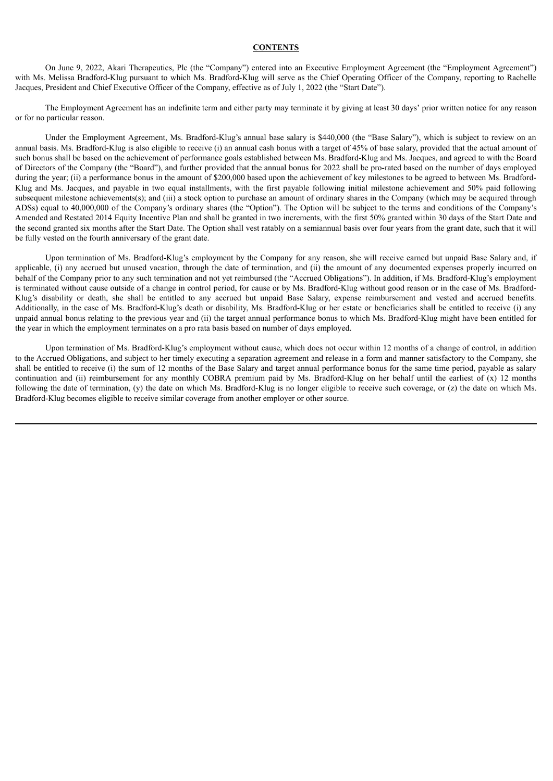## **CONTENTS**

On June 9, 2022, Akari Therapeutics, Plc (the "Company") entered into an Executive Employment Agreement (the "Employment Agreement") with Ms. Melissa Bradford-Klug pursuant to which Ms. Bradford-Klug will serve as the Chief Operating Officer of the Company, reporting to Rachelle Jacques, President and Chief Executive Officer of the Company, effective as of July 1, 2022 (the "Start Date").

The Employment Agreement has an indefinite term and either party may terminate it by giving at least 30 days' prior written notice for any reason or for no particular reason.

Under the Employment Agreement, Ms. Bradford-Klug's annual base salary is \$440,000 (the "Base Salary"), which is subject to review on an annual basis. Ms. Bradford-Klug is also eligible to receive (i) an annual cash bonus with a target of 45% of base salary, provided that the actual amount of such bonus shall be based on the achievement of performance goals established between Ms. Bradford-Klug and Ms. Jacques, and agreed to with the Board of Directors of the Company (the "Board"), and further provided that the annual bonus for 2022 shall be pro-rated based on the number of days employed during the year; (ii) a performance bonus in the amount of \$200,000 based upon the achievement of key milestones to be agreed to between Ms. Bradford-Klug and Ms. Jacques, and payable in two equal installments, with the first payable following initial milestone achievement and 50% paid following subsequent milestone achievements(s); and (iii) a stock option to purchase an amount of ordinary shares in the Company (which may be acquired through ADSs) equal to 40,000,000 of the Company's ordinary shares (the "Option"). The Option will be subject to the terms and conditions of the Company's Amended and Restated 2014 Equity Incentive Plan and shall be granted in two increments, with the first 50% granted within 30 days of the Start Date and the second granted six months after the Start Date. The Option shall vest ratably on a semiannual basis over four years from the grant date, such that it will be fully vested on the fourth anniversary of the grant date.

Upon termination of Ms. Bradford-Klug's employment by the Company for any reason, she will receive earned but unpaid Base Salary and, if applicable, (i) any accrued but unused vacation, through the date of termination, and (ii) the amount of any documented expenses properly incurred on behalf of the Company prior to any such termination and not yet reimbursed (the "Accrued Obligations"). In addition, if Ms. Bradford-Klug's employment is terminated without cause outside of a change in control period, for cause or by Ms. Bradford-Klug without good reason or in the case of Ms. Bradford-Klug's disability or death, she shall be entitled to any accrued but unpaid Base Salary, expense reimbursement and vested and accrued benefits. Additionally, in the case of Ms. Bradford-Klug's death or disability, Ms. Bradford-Klug or her estate or beneficiaries shall be entitled to receive (i) any unpaid annual bonus relating to the previous year and (ii) the target annual performance bonus to which Ms. Bradford-Klug might have been entitled for the year in which the employment terminates on a pro rata basis based on number of days employed.

Upon termination of Ms. Bradford-Klug's employment without cause, which does not occur within 12 months of a change of control, in addition to the Accrued Obligations, and subject to her timely executing a separation agreement and release in a form and manner satisfactory to the Company, she shall be entitled to receive (i) the sum of 12 months of the Base Salary and target annual performance bonus for the same time period, payable as salary continuation and (ii) reimbursement for any monthly COBRA premium paid by Ms. Bradford-Klug on her behalf until the earliest of (x) 12 months following the date of termination, (y) the date on which Ms. Bradford-Klug is no longer eligible to receive such coverage, or (z) the date on which Ms. Bradford-Klug becomes eligible to receive similar coverage from another employer or other source.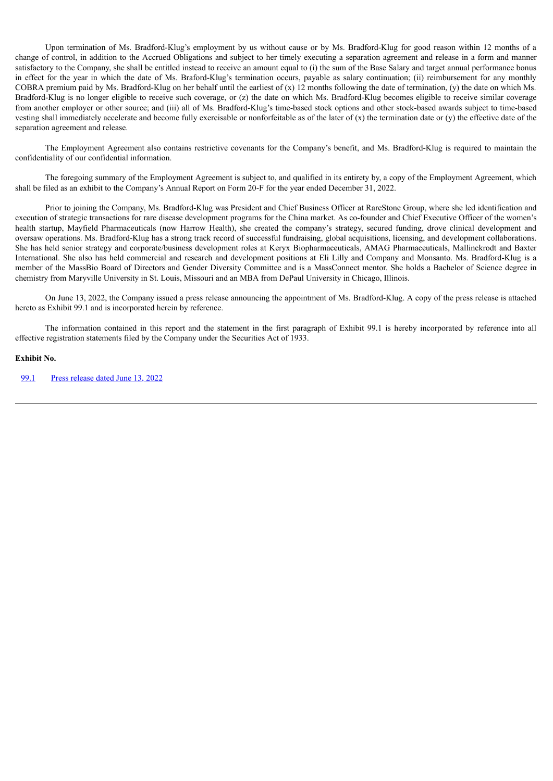Upon termination of Ms. Bradford-Klug's employment by us without cause or by Ms. Bradford-Klug for good reason within 12 months of a change of control, in addition to the Accrued Obligations and subject to her timely executing a separation agreement and release in a form and manner satisfactory to the Company, she shall be entitled instead to receive an amount equal to (i) the sum of the Base Salary and target annual performance bonus in effect for the year in which the date of Ms. Braford-Klug's termination occurs, payable as salary continuation; (ii) reimbursement for any monthly COBRA premium paid by Ms. Bradford-Klug on her behalf until the earliest of  $(x)$  12 months following the date of termination,  $(y)$  the date on which Ms. Bradford-Klug is no longer eligible to receive such coverage, or (z) the date on which Ms. Bradford-Klug becomes eligible to receive similar coverage from another employer or other source; and (iii) all of Ms. Bradford-Klug's time-based stock options and other stock-based awards subject to time-based vesting shall immediately accelerate and become fully exercisable or nonforfeitable as of the later of  $(x)$  the termination date or  $(y)$  the effective date of the separation agreement and release.

The Employment Agreement also contains restrictive covenants for the Company's benefit, and Ms. Bradford-Klug is required to maintain the confidentiality of our confidential information.

The foregoing summary of the Employment Agreement is subject to, and qualified in its entirety by, a copy of the Employment Agreement, which shall be filed as an exhibit to the Company's Annual Report on Form 20-F for the year ended December 31, 2022.

Prior to joining the Company, Ms. Bradford-Klug was President and Chief Business Officer at RareStone Group, where she led identification and execution of strategic transactions for rare disease development programs for the China market. As co-founder and Chief Executive Officer of the women's health startup, Mayfield Pharmaceuticals (now Harrow Health), she created the company's strategy, secured funding, drove clinical development and oversaw operations. Ms. Bradford-Klug has a strong track record of successful fundraising, global acquisitions, licensing, and development collaborations. She has held senior strategy and corporate/business development roles at Keryx Biopharmaceuticals, AMAG Pharmaceuticals, Mallinckrodt and Baxter International. She also has held commercial and research and development positions at Eli Lilly and Company and Monsanto. Ms. Bradford-Klug is a member of the MassBio Board of Directors and Gender Diversity Committee and is a MassConnect mentor. She holds a Bachelor of Science degree in chemistry from Maryville University in St. Louis, Missouri and an MBA from DePaul University in Chicago, Illinois.

On June 13, 2022, the Company issued a press release announcing the appointment of Ms. Bradford-Klug. A copy of the press release is attached hereto as Exhibit 99.1 and is incorporated herein by reference.

The information contained in this report and the statement in the first paragraph of Exhibit 99.1 is hereby incorporated by reference into all effective registration statements filed by the Company under the Securities Act of 1933.

#### **Exhibit No.**

[99.1](#page-4-0) Press [release](#page-4-0) dated June 13, 2022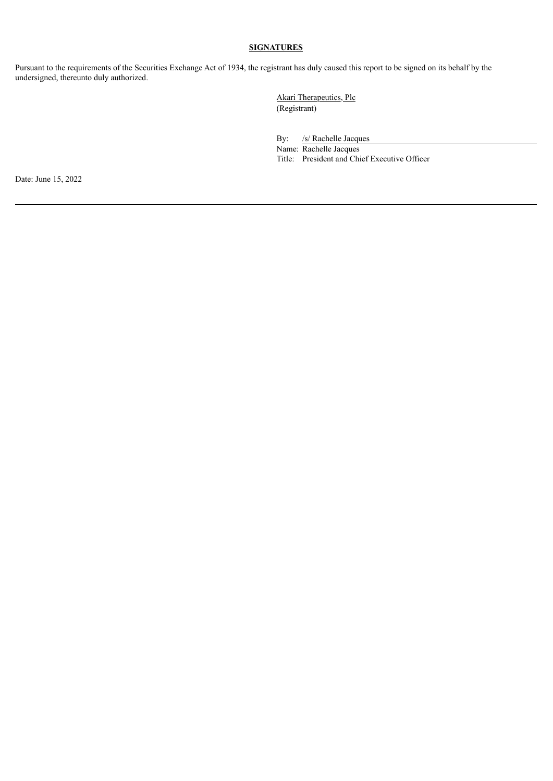# **SIGNATURES**

Pursuant to the requirements of the Securities Exchange Act of 1934, the registrant has duly caused this report to be signed on its behalf by the undersigned, thereunto duly authorized.

> Akari Therapeutics, Plc (Registrant)

By: /s/ Rachelle Jacques

Name: Rachelle Jacques Title: President and Chief Executive Officer

Date: June 15, 2022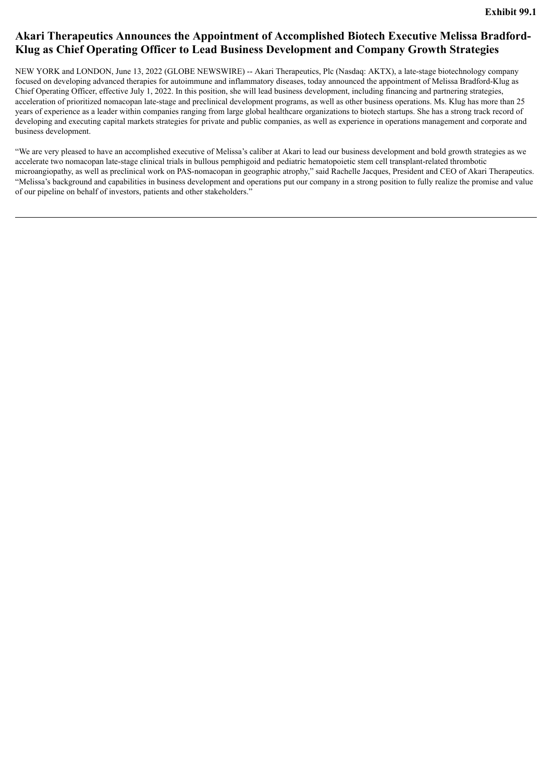# <span id="page-4-0"></span>**Akari Therapeutics Announces the Appointment of Accomplished Biotech Executive Melissa Bradford-Klug as Chief Operating Officer to Lead Business Development and Company Growth Strategies**

NEW YORK and LONDON, June 13, 2022 (GLOBE NEWSWIRE) -- Akari Therapeutics, Plc (Nasdaq: AKTX), a late-stage biotechnology company focused on developing advanced therapies for autoimmune and inflammatory diseases, today announced the appointment of Melissa Bradford-Klug as Chief Operating Officer, effective July 1, 2022. In this position, she will lead business development, including financing and partnering strategies, acceleration of prioritized nomacopan late-stage and preclinical development programs, as well as other business operations. Ms. Klug has more than 25 years of experience as a leader within companies ranging from large global healthcare organizations to biotech startups. She has a strong track record of developing and executing capital markets strategies for private and public companies, as well as experience in operations management and corporate and business development.

"We are very pleased to have an accomplished executive of Melissa's caliber at Akari to lead our business development and bold growth strategies as we accelerate two nomacopan late-stage clinical trials in bullous pemphigoid and pediatric hematopoietic stem cell transplant-related thrombotic microangiopathy, as well as preclinical work on PAS-nomacopan in geographic atrophy," said Rachelle Jacques, President and CEO of Akari Therapeutics. "Melissa's background and capabilities in business development and operations put our company in a strong position to fully realize the promise and value of our pipeline on behalf of investors, patients and other stakeholders."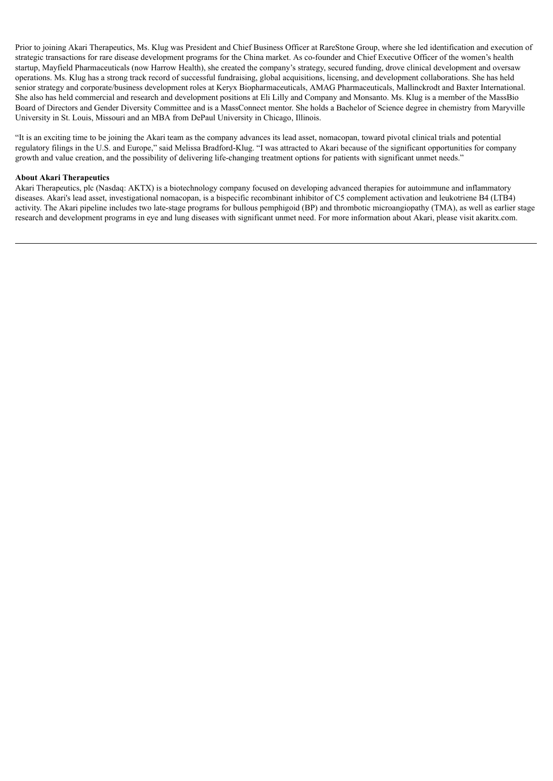Prior to joining Akari Therapeutics, Ms. Klug was President and Chief Business Officer at RareStone Group, where she led identification and execution of strategic transactions for rare disease development programs for the China market. As co-founder and Chief Executive Officer of the women's health startup, Mayfield Pharmaceuticals (now Harrow Health), she created the company's strategy, secured funding, drove clinical development and oversaw operations. Ms. Klug has a strong track record of successful fundraising, global acquisitions, licensing, and development collaborations. She has held senior strategy and corporate/business development roles at Keryx Biopharmaceuticals, AMAG Pharmaceuticals, Mallinckrodt and Baxter International. She also has held commercial and research and development positions at Eli Lilly and Company and Monsanto. Ms. Klug is a member of the MassBio Board of Directors and Gender Diversity Committee and is a MassConnect mentor. She holds a Bachelor of Science degree in chemistry from Maryville University in St. Louis, Missouri and an MBA from DePaul University in Chicago, Illinois.

"It is an exciting time to be joining the Akari team as the company advances its lead asset, nomacopan, toward pivotal clinical trials and potential regulatory filings in the U.S. and Europe," said Melissa Bradford-Klug. "I was attracted to Akari because of the significant opportunities for company growth and value creation, and the possibility of delivering life-changing treatment options for patients with significant unmet needs."

### **About Akari Therapeutics**

Akari Therapeutics, plc (Nasdaq: AKTX) is a biotechnology company focused on developing advanced therapies for autoimmune and inflammatory diseases. Akari's lead asset, investigational nomacopan, is a bispecific recombinant inhibitor of C5 complement activation and leukotriene B4 (LTB4) activity. The Akari pipeline includes two late-stage programs for bullous pemphigoid (BP) and thrombotic microangiopathy (TMA), as well as earlier stage research and development programs in eye and lung diseases with significant unmet need. For more information about Akari, please visit akaritx.com.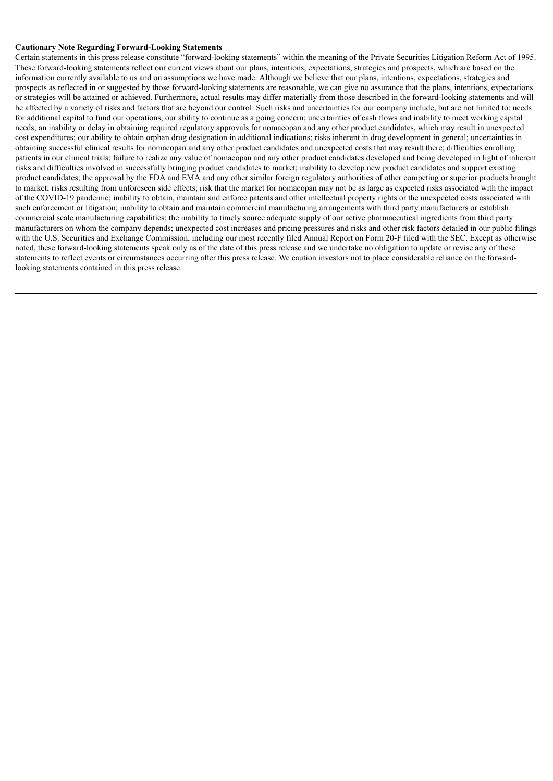### **Cautionary Note Regarding Forward-Looking Statements**

Certain statements in this press release constitute "forward-looking statements" within the meaning of the Private Securities Litigation Reform Act of 1995. These forward-looking statements reflect our current views about our plans, intentions, expectations, strategies and prospects, which are based on the information currently available to us and on assumptions we have made. Although we believe that our plans, intentions, expectations, strategies and prospects as reflected in or suggested by those forward-looking statements are reasonable, we can give no assurance that the plans, intentions, expectations or strategies will be attained or achieved. Furthermore, actual results may differ materially from those described in the forward-looking statements and will be affected by a variety of risks and factors that are beyond our control. Such risks and uncertainties for our company include, but are not limited to: needs for additional capital to fund our operations, our ability to continue as a going concern; uncertainties of cash flows and inability to meet working capital needs; an inability or delay in obtaining required regulatory approvals for nomacopan and any other product candidates, which may result in unexpected cost expenditures; our ability to obtain orphan drug designation in additional indications; risks inherent in drug development in general; uncertainties in obtaining successful clinical results for nomacopan and any other product candidates and unexpected costs that may result there; difficulties enrolling patients in our clinical trials; failure to realize any value of nomacopan and any other product candidates developed and being developed in light of inherent risks and difficulties involved in successfully bringing product candidates to market; inability to develop new product candidates and support existing product candidates; the approval by the FDA and EMA and any other similar foreign regulatory authorities of other competing or superior products brought to market; risks resulting from unforeseen side effects; risk that the market for nomacopan may not be as large as expected risks associated with the impact of the COVID-19 pandemic; inability to obtain, maintain and enforce patents and other intellectual property rights or the unexpected costs associated with such enforcement or litigation; inability to obtain and maintain commercial manufacturing arrangements with third party manufacturers or establish commercial scale manufacturing capabilities; the inability to timely source adequate supply of our active pharmaceutical ingredients from third party manufacturers on whom the company depends; unexpected cost increases and pricing pressures and risks and other risk factors detailed in our public filings with the U.S. Securities and Exchange Commission, including our most recently filed Annual Report on Form 20-F filed with the SEC. Except as otherwise noted, these forward-looking statements speak only as of the date of this press release and we undertake no obligation to update or revise any of these statements to reflect events or circumstances occurring after this press release. We caution investors not to place considerable reliance on the forwardlooking statements contained in this press release.